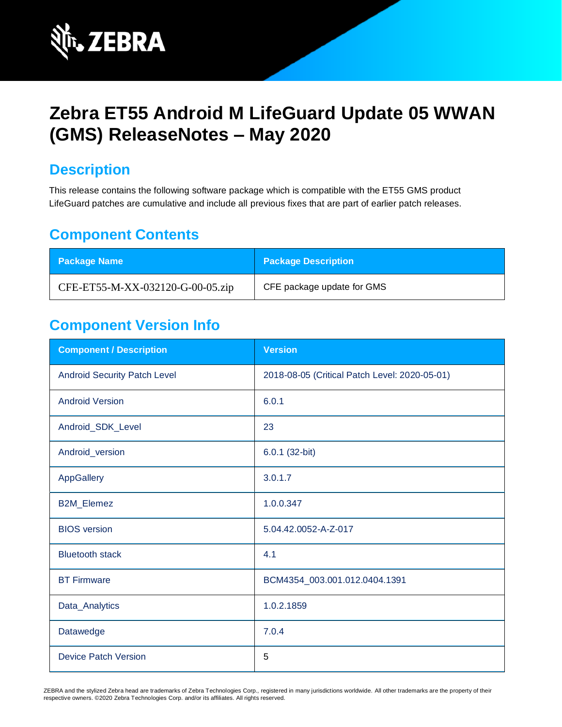

# **Zebra ET55 Android M LifeGuard Update 05 WWAN (GMS) ReleaseNotes – May 2020**

### **Description**

This release contains the following software package which is compatible with the ET55 GMS product LifeGuard patches are cumulative and include all previous fixes that are part of earlier patch releases.

### **Component Contents**

| <b>Package Name</b>              | <b>Package Description</b> |
|----------------------------------|----------------------------|
| CFE-ET55-M-XX-032120-G-00-05.zip | CFE package update for GMS |

## **Component Version Info**

| <b>Component / Description</b>      | <b>Version</b>                                |
|-------------------------------------|-----------------------------------------------|
| <b>Android Security Patch Level</b> | 2018-08-05 (Critical Patch Level: 2020-05-01) |
| <b>Android Version</b>              | 6.0.1                                         |
| Android_SDK_Level                   | 23                                            |
| Android_version                     | 6.0.1 (32-bit)                                |
| AppGallery                          | 3.0.1.7                                       |
| <b>B2M_Elemez</b>                   | 1.0.0.347                                     |
| <b>BIOS</b> version                 | 5.04.42.0052-A-Z-017                          |
| <b>Bluetooth stack</b>              | 4.1                                           |
| <b>BT Firmware</b>                  | BCM4354_003.001.012.0404.1391                 |
| Data_Analytics                      | 1.0.2.1859                                    |
| Datawedge                           | 7.0.4                                         |
| <b>Device Patch Version</b>         | 5                                             |

ZEBRA and the stylized Zebra head are trademarks of Zebra Technologies Corp., registered in many jurisdictions worldwide. All other trademarks are the property of their respective owners. ©2020 Zebra Technologies Corp. and/or its affiliates. All rights reserved.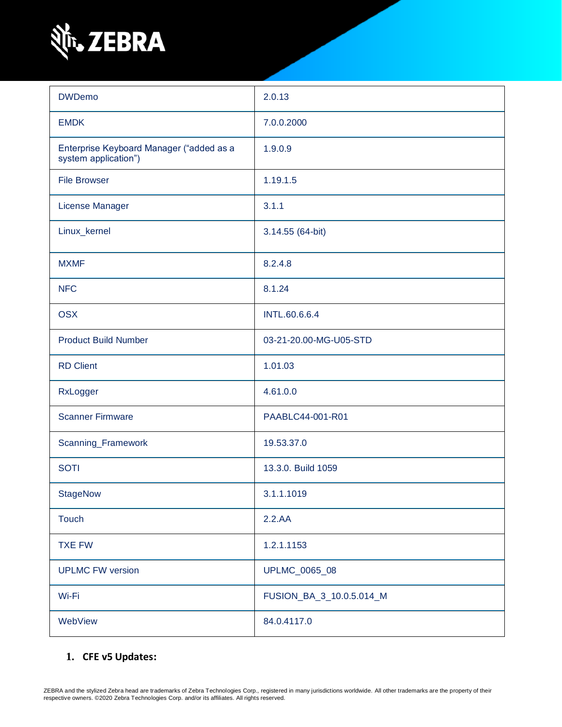

| <b>DWDemo</b>                                                    | 2.0.13                   |
|------------------------------------------------------------------|--------------------------|
| <b>EMDK</b>                                                      | 7.0.0.2000               |
| Enterprise Keyboard Manager ("added as a<br>system application") | 1.9.0.9                  |
| <b>File Browser</b>                                              | 1.19.1.5                 |
| License Manager                                                  | 3.1.1                    |
| Linux_kernel                                                     | 3.14.55 (64-bit)         |
| <b>MXMF</b>                                                      | 8.2.4.8                  |
| <b>NFC</b>                                                       | 8.1.24                   |
| <b>OSX</b>                                                       | <b>INTL.60.6.6.4</b>     |
| <b>Product Build Number</b>                                      | 03-21-20.00-MG-U05-STD   |
| <b>RD Client</b>                                                 | 1.01.03                  |
| RxLogger                                                         | 4.61.0.0                 |
| <b>Scanner Firmware</b>                                          | PAABLC44-001-R01         |
| Scanning_Framework                                               | 19.53.37.0               |
| <b>SOTI</b>                                                      | 13.3.0. Build 1059       |
| <b>StageNow</b>                                                  | 3.1.1.1019               |
| <b>Touch</b>                                                     | 2.2.AA                   |
| <b>TXE FW</b>                                                    | 1.2.1.1153               |
| <b>UPLMC FW version</b>                                          | UPLMC_0065_08            |
| Wi-Fi                                                            | FUSION_BA_3_10.0.5.014_M |
| WebView                                                          | 84.0.4117.0              |

### **1. CFE v5 Updates:**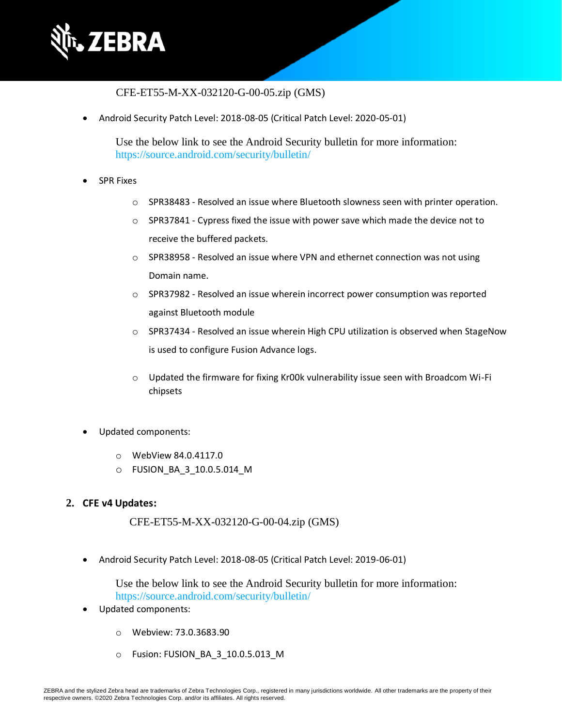

### CFE-ET55-M-XX-032120-G-00-05.zip (GMS)

• Android Security Patch Level: 2018-08-05 (Critical Patch Level: 2020-05-01)

Use the below link to see the Android Security bulletin for more information: <https://source.android.com/security/bulletin/>

- SPR Fixes
	- o SPR38483 Resolved an issue where Bluetooth slowness seen with printer operation.
	- $\circ$  SPR37841 Cypress fixed the issue with power save which made the device not to receive the buffered packets.
	- o SPR38958 Resolved an issue where VPN and ethernet connection was not using Domain name.
	- o SPR37982 Resolved an issue wherein incorrect power consumption was reported against Bluetooth module
	- $\circ$  SPR37434 Resolved an issue wherein High CPU utilization is observed when StageNow is used to configure Fusion Advance logs.
	- o Updated the firmware for fixing Kr00k vulnerability issue seen with Broadcom Wi-Fi chipsets
- Updated components:
	- o WebView 84.0.4117.0
	- o FUSION\_BA\_3\_10.0.5.014\_M

#### **2. CFE v4 Updates:**

CFE-ET55-M-XX-032120-G-00-04.zip (GMS)

• Android Security Patch Level: 2018-08-05 (Critical Patch Level: 2019-06-01)

Use the below link to see the Android Security bulletin for more information: <https://source.android.com/security/bulletin/>

- Updated components:
	- o Webview: 73.0.3683.90
	- o Fusion: FUSION\_BA\_3\_10.0.5.013\_M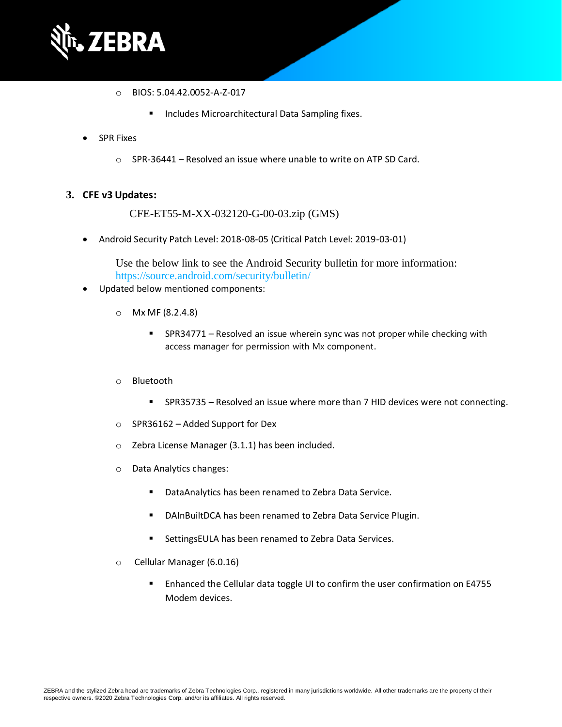

- o BIOS: 5.04.42.0052-A-Z-017
	- Includes Microarchitectural Data Sampling fixes.
- **SPR Fixes** 
	- o SPR-36441 Resolved an issue where unable to write on ATP SD Card.

#### **3. CFE v3 Updates:**

CFE-ET55-M-XX-032120-G-00-03.zip (GMS)

• Android Security Patch Level: 2018-08-05 (Critical Patch Level: 2019-03-01)

Use the below link to see the Android Security bulletin for more information: <https://source.android.com/security/bulletin/>

- Updated below mentioned components:
	- o Mx MF (8.2.4.8)
		- **EXECT** SPR34771 Resolved an issue wherein sync was not proper while checking with access manager for permission with Mx component.
	- o Bluetooth
		- SPR35735 Resolved an issue where more than 7 HID devices were not connecting.
	- o SPR36162 Added Support for Dex
	- o Zebra License Manager (3.1.1) has been included.
	- o Data Analytics changes:
		- DataAnalytics has been renamed to Zebra Data Service.
		- DAInBuiltDCA has been renamed to Zebra Data Service Plugin.
		- SettingsEULA has been renamed to Zebra Data Services.
	- o Cellular Manager (6.0.16)
		- Enhanced the Cellular data toggle UI to confirm the user confirmation on E4755 Modem devices.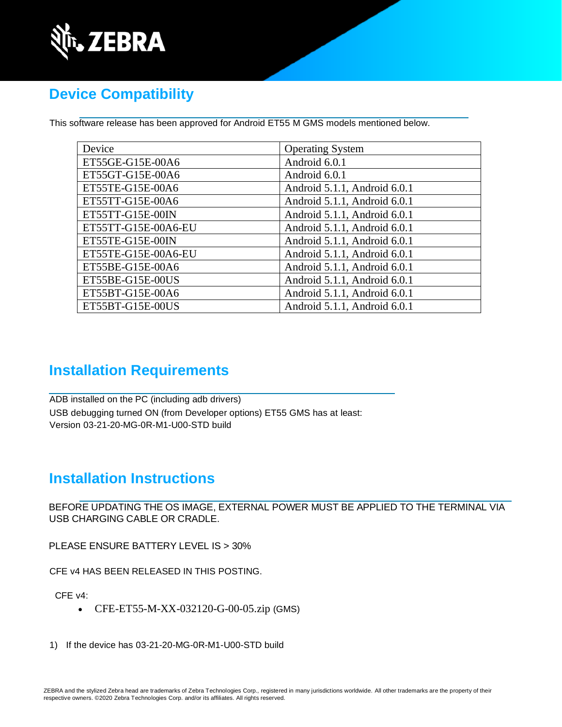

## **Device Compatibility**

This software release has been approved for Android ET55 M GMS models mentioned below.

| Device              | <b>Operating System</b>      |
|---------------------|------------------------------|
| ET55GE-G15E-00A6    | Android 6.0.1                |
| ET55GT-G15E-00A6    | Android 6.0.1                |
| ET55TE-G15E-00A6    | Android 5.1.1, Android 6.0.1 |
| ET55TT-G15E-00A6    | Android 5.1.1, Android 6.0.1 |
| ET55TT-G15E-00IN    | Android 5.1.1, Android 6.0.1 |
| ET55TT-G15E-00A6-EU | Android 5.1.1, Android 6.0.1 |
| ET55TE-G15E-00IN    | Android 5.1.1, Android 6.0.1 |
| ET55TE-G15E-00A6-EU | Android 5.1.1, Android 6.0.1 |
| ET55BE-G15E-00A6    | Android 5.1.1, Android 6.0.1 |
| ET55BE-G15E-00US    | Android 5.1.1, Android 6.0.1 |
| ET55BT-G15E-00A6    | Android 5.1.1, Android 6.0.1 |
| ET55BT-G15E-00US    | Android 5.1.1, Android 6.0.1 |

### **Installation Requirements**

ADB installed on the PC (including adb drivers) USB debugging turned ON (from Developer options) ET55 GMS has at least: Version 03-21-20-MG-0R-M1-U00-STD build

## **Installation Instructions**

BEFORE UPDATING THE OS IMAGE, EXTERNAL POWER MUST BE APPLIED TO THE TERMINAL VIA USB CHARGING CABLE OR CRADLE.

PLEASE ENSURE BATTERY LEVEL IS > 30%

CFE v4 HAS BEEN RELEASED IN THIS POSTING.

CFE v4:

- CFE-ET55-M-XX-032120-G-00-05.zip (GMS)
- 1) If the device has 03-21-20-MG-0R-M1-U00-STD build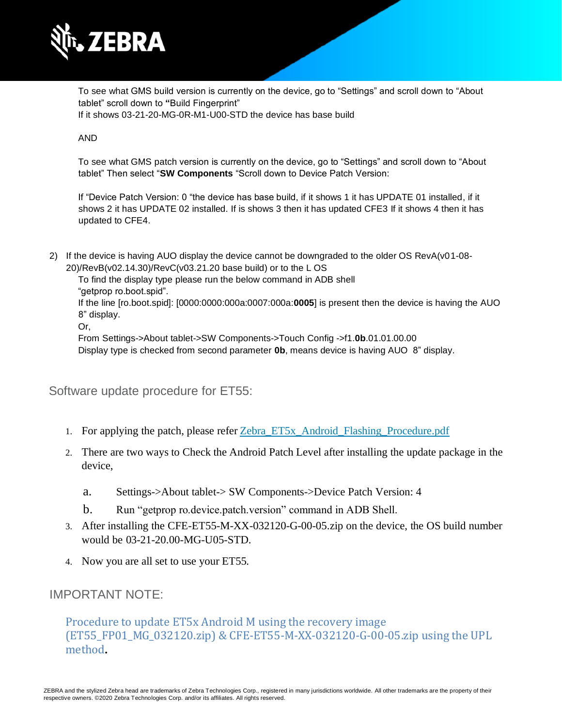

To see what GMS build version is currently on the device, go to "Settings" and scroll down to "About tablet" scroll down to **"**Build Fingerprint" If it shows 03-21-20-MG-0R-M1-U00-STD the device has base build

#### AND

To see what GMS patch version is currently on the device, go to "Settings" and scroll down to "About tablet" Then select "**SW Components** "Scroll down to Device Patch Version:

If "Device Patch Version: 0 "the device has base build, if it shows 1 it has UPDATE 01 installed, if it shows 2 it has UPDATE 02 installed. If is shows 3 then it has updated CFE3 If it shows 4 then it has updated to CFE4.

2) If the device is having AUO display the device cannot be downgraded to the older OS RevA(v01-08- 20)/RevB(v02.14.30)/RevC(v03.21.20 base build) or to the L OS

To find the display type please run the below command in ADB shell "getprop ro.boot.spid".

If the line [ro.boot.spid]: [0000:0000:000a:0007:000a:**0005**] is present then the device is having the AUO 8" display.

Or,

From Settings->About tablet->SW Components->Touch Config ->f1.**0b**.01.01.00.00

Display type is checked from second parameter **0b**, means device is having AUO 8" display.

Software update procedure for ET55:

- 1. For applying the patch, please refer [Zebra\\_ET5x\\_Android\\_Flashing\\_Procedure.pdf](https://www.zebra.com/content/dam/zebra_new_ia/en-us/software/operating-system/ET5X%20Operating%20System/Zebra-ET5x-Android-Flashing-Procedure.pdf)
- 2. There are two ways to Check the Android Patch Level after installing the update package in the device,
	- a. Settings->About tablet-> SW Components->Device Patch Version: 4
	- b. Run "getprop ro.device.patch.version" command in ADB Shell.
- 3. After installing the CFE-ET55-M-XX-032120-G-00-05.zip on the device, the OS build number would be 03-21-20.00-MG-U05-STD.
- 4. Now you are all set to use your ET55.

### IMPORTANT NOTE:

Procedure to update ET5x Android M using the recovery image (ET55\_FP01\_MG\_032120.zip) & CFE-ET55-M-XX-032120-G-00-05.zip using the UPL method**.**